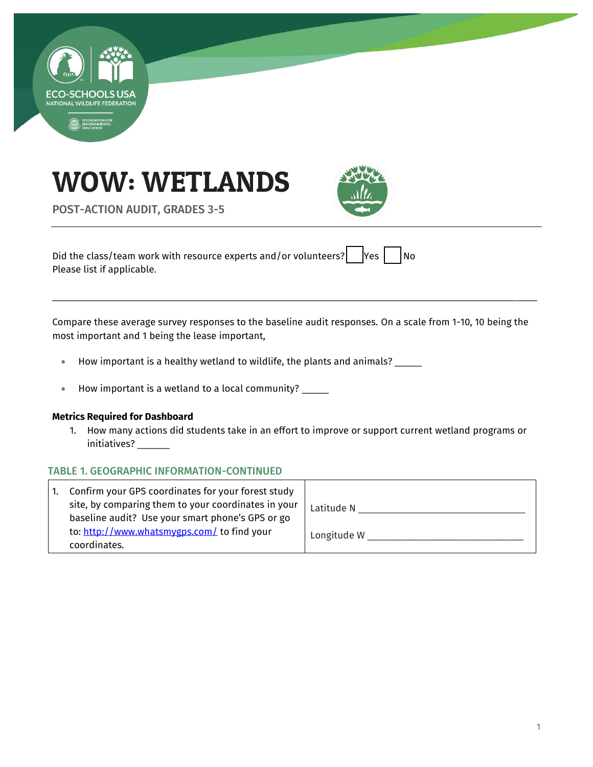





POST-ACTION AUDIT, GRADES 3-5

Did the class/team work with resource experts and/or volunteers?  $\begin{bmatrix} \n\end{bmatrix}$  Yes  $\begin{bmatrix} \n\end{bmatrix}$  No Please list if applicable.

Compare these average survey responses to the baseline audit responses. On a scale from 1-10, 10 being the most important and 1 being the lease important,

\_\_\_\_\_\_\_\_\_\_\_\_\_\_\_\_\_\_\_\_\_\_\_\_\_\_\_\_\_\_\_\_\_\_\_\_\_\_\_\_\_\_\_\_\_\_\_\_\_\_\_\_\_\_\_\_\_\_\_\_\_\_\_\_\_\_\_\_\_\_\_\_\_\_\_\_\_\_\_\_\_\_\_\_\_\_\_\_\_\_

- How important is a healthy wetland to wildlife, the plants and animals? \_\_\_\_\_
- How important is a wetland to a local community? \_\_\_\_\_

#### **Metrics Required for Dashboard**

1. How many actions did students take in an effort to improve or support current wetland programs or initiatives? \_\_\_\_\_

#### TABLE 1. GEOGRAPHIC INFORMATION-CONTINUED

| Confirm your GPS coordinates for your forest study                                                      |             |
|---------------------------------------------------------------------------------------------------------|-------------|
| site, by comparing them to your coordinates in your<br>baseline audit? Use your smart phone's GPS or go | Latitude N  |
| to: http://www.whatsmygps.com/ to find your<br>coordinates.                                             | Longitude W |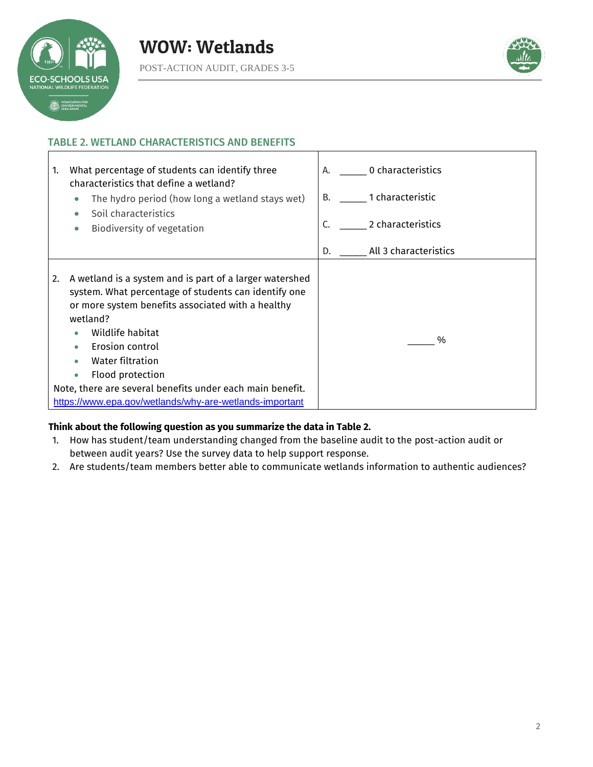



## TABLE 2. WETLAND CHARACTERISTICS AND BENEFITS



#### **Think about the following question as you summarize the data in Table 2.**

- 1. How has student/team understanding changed from the baseline audit to the post-action audit or between audit years? Use the survey data to help support response.
- 2. Are students/team members better able to communicate wetlands information to authentic audiences?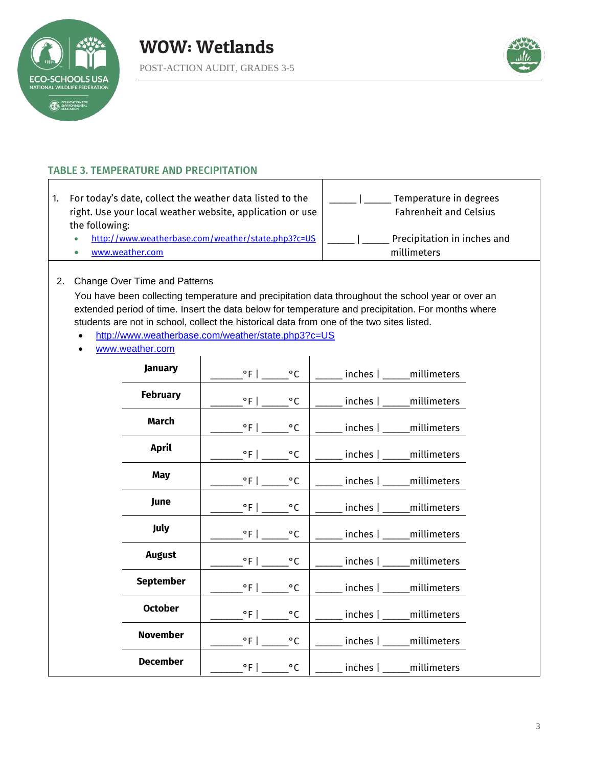



# TABLE 3. TEMPERATURE AND PRECIPITATION

| For today's date, collect the weather data listed to the<br>right. Use your local weather website, application or use | Temperature in degrees<br><b>Fahrenheit and Celsius</b> |  |  |
|-----------------------------------------------------------------------------------------------------------------------|---------------------------------------------------------|--|--|
| the following:                                                                                                        |                                                         |  |  |
| http://www.weatherbase.com/weather/state.php3?c=US                                                                    | Precipitation in inches and                             |  |  |
| www.weather.com                                                                                                       | millimeters                                             |  |  |

 $\mathbf{I}$ 

#### 2. Change Over Time and Patterns

You have been collecting temperature and precipitation data throughout the school year or over an extended period of time. Insert the data below for temperature and precipitation. For months where students are not in school, collect the historical data from one of the two sites listed.

- <http://www.weatherbase.com/weather/state.php3?c=US>
- [www.weather.com](http://www.weather.com/)

| January          |                                | $^{\circ}$ C |                              |
|------------------|--------------------------------|--------------|------------------------------|
|                  |                                |              | inches   millimeters         |
| <b>February</b>  | $^{\circ}$ F                   | $^{\circ}$ C | inches   _____ millimeters   |
| <b>March</b>     | $\mathsf{PFL}$                 | $^{\circ}$ C | _inches  ______millimeters   |
| <b>April</b>     | $^{\circ}$ F                   | $^{\circ}$ C | inches   _____ millimeters   |
| <b>May</b>       | $\degree$ F   $\_$             | $^{\circ}$ C | inches   _____ millimeters   |
| June             | $^{\circ}$ F   __              | $^{\circ}$ C | inches   millimeters         |
| July             |                                | $^{\circ}$ C | _inches   ______ millimeters |
| <b>August</b>    | $^{\circ}$ F                   | $^{\circ}$ C | inches   _____ millimeters   |
| <b>September</b> | $^{\circ}$ F   $\qquad \qquad$ | $\circ$ C    | $inches$ $ $ $mineters$      |
| <b>October</b>   | $^{\circ}$ F   __              | $^{\circ}$ C | inches   _____ millimeters   |
| <b>November</b>  | $\degree$ F   $\degree$        | $^{\circ}$ C | inches   _____ millimeters   |
| <b>December</b>  | $^{\circ}$ F                   | $^{\circ}$ C | inches   millimeters         |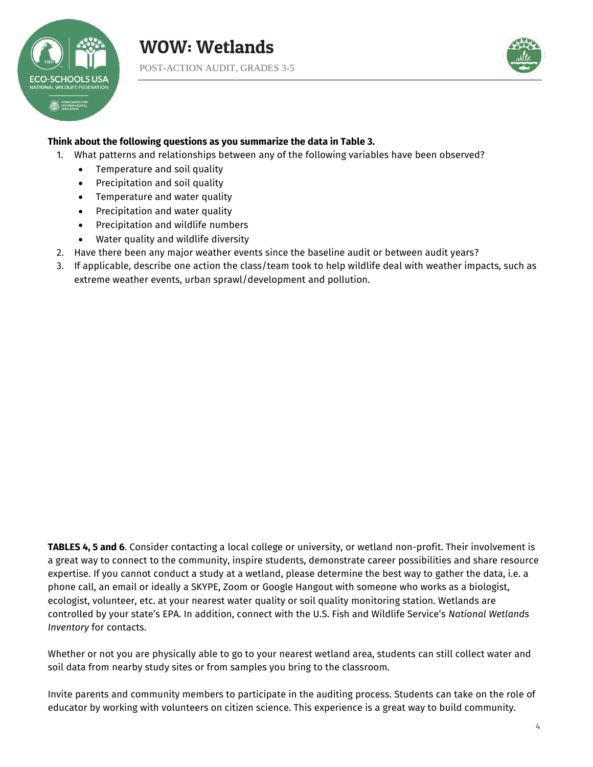



#### **Think about the following questions as you summarize the data in Table 3.**

- 1. What patterns and relationships between any of the following variables have been observed?
	- Temperature and soil quality
	- Precipitation and soil quality
	- Temperature and water quality
	- Precipitation and water quality
	- Precipitation and wildlife numbers
	- Water quality and wildlife diversity
- 2. Have there been any major weather events since the baseline audit or between audit years?
- 3. If applicable, describe one action the class/team took to help wildlife deal with weather impacts, such as extreme weather events, urban sprawl/development and pollution.

**TABLES 4, 5 and 6**. Consider contacting a local college or university, or wetland non-profit. Their involvement is a great way to connect to the community, inspire students, demonstrate career possibilities and share resource expertise. If you cannot conduct a study at a wetland, please determine the best way to gather the data, i.e. a phone call, an email or ideally a SKYPE, Zoom or Google Hangout with someone who works as a biologist, ecologist, volunteer, etc. at your nearest water quality or soil quality monitoring station. Wetlands are controlled by your state's EPA. In addition, connect with the U.S. Fish and Wildlife Service's *National Wetlands Inventory* for contacts.

Whether or not you are physically able to go to your nearest wetland area, students can still collect water and soil data from nearby study sites or from samples you bring to the classroom.

Invite parents and community members to participate in the auditing process. Students can take on the role of educator by working with volunteers on citizen science. This experience is a great way to build community.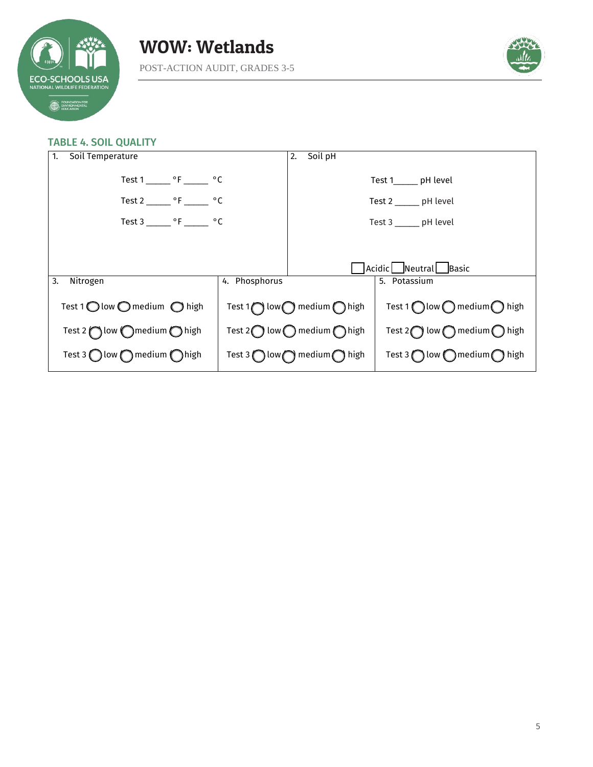



#### TABLE 4. SOIL QUALITY

| Soil Temperature<br>1.                                  |  | 2. Soil pH                                                                                             |                                                         |  |
|---------------------------------------------------------|--|--------------------------------------------------------------------------------------------------------|---------------------------------------------------------|--|
| Test 1 _______ °F _______ °C                            |  | Test 1______ pH level                                                                                  |                                                         |  |
| Test 2 ________ $\circ$ F ________ $\circ$ C            |  | Test $2 \_\_\_$ pH level                                                                               |                                                         |  |
| Test 3 _______ $\circ$ F ______ $\circ$ C               |  | Test 3 _______ pH level                                                                                |                                                         |  |
|                                                         |  |                                                                                                        |                                                         |  |
|                                                         |  | Acidic Neutral Basic                                                                                   |                                                         |  |
| 4. Phosphorus<br>3.<br>Nitrogen                         |  | 5. Potassium                                                                                           |                                                         |  |
| Test 1 $\bigcirc$ low $\bigcirc$ medium $\bigcirc$ high |  | Test 1 $\bigcap$ low $\bigcap$ medium $\bigcap$ high<br>Test 1   low $\bigcirc$ medium $\bigcirc$ high |                                                         |  |
| Test 2 $\bigcap$ low $\bigcap$ medium $\bigcirc$ high   |  | Test 2 $\bigcirc$ low $\bigcirc$ medium $\bigcirc$ high                                                | Test 2 $\bigcirc$ low $\bigcirc$ medium $\bigcirc$ high |  |
| Test 3 $\bigcirc$ low $\bigcirc$ medium $\bigcirc$ high |  | Test 3 $\bigcirc$ low $\bigcirc$ medium $\bigcirc$ high                                                | Test 3 $\bigcap$ low $\bigcap$ medium $\bigcap$ high    |  |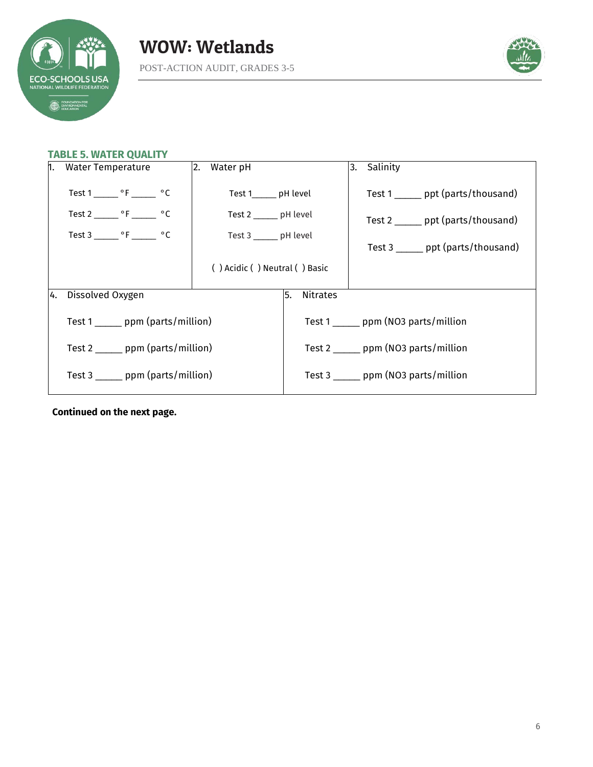



### **TABLE 5. WATER QUALITY**

| 1. | <b>Water Temperature</b>                     | 2. Water pH                   |                                       | Salinity<br>3.                       |
|----|----------------------------------------------|-------------------------------|---------------------------------------|--------------------------------------|
|    | Test 1 ________ $\circ$ F ________ $\circ$ C | Test 1________ pH level       |                                       | Test 1 ______ ppt (parts/thousand)   |
|    | Test 2 _______ $\circ$ F _______ $\circ$ C   | Test 2 ______ pH level        |                                       | Test $2 \_\_\_$ ppt (parts/thousand) |
|    | Test 3 _______ $\circ$ F _______ $\circ$ C   | Test 3 ______ pH level        |                                       |                                      |
|    |                                              |                               |                                       | Test 3 ______ ppt (parts/thousand)   |
|    |                                              | () Acidic () Neutral () Basic |                                       |                                      |
|    |                                              |                               |                                       |                                      |
| 4. | Dissolved Oxygen                             |                               | Nitrates<br>5.                        |                                      |
|    | Test 1 _______ ppm (parts/million)           |                               | Test 1 _______ ppm (NO3 parts/million |                                      |
|    | Test 2 _______ ppm (parts/million)           |                               | Test 2 _______ ppm (NO3 parts/million |                                      |
|    | Test $3 \_\_\_\_$ ppm (parts/million)        |                               | Test 3 _______ ppm (NO3 parts/million |                                      |

**Continued on the next page.**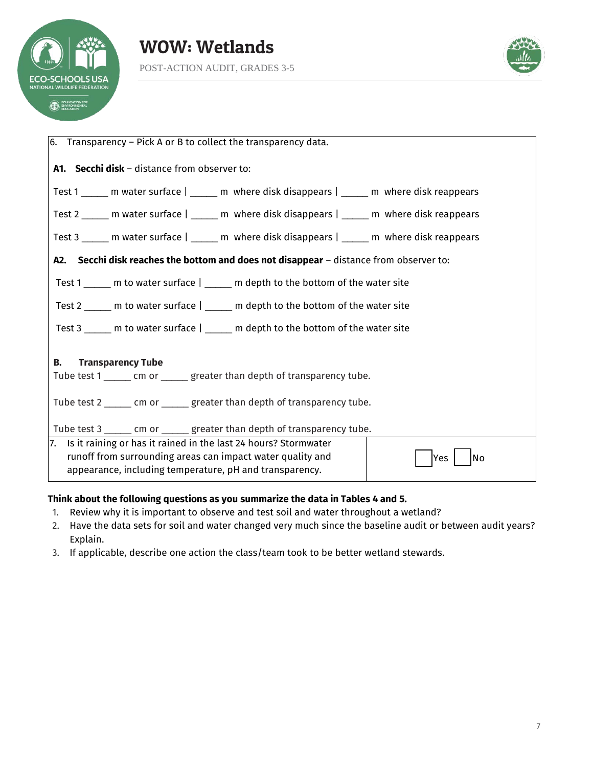



| $ 6.$ Transparency – Pick A or B to collect the transparency data.                                                                             |  |  |  |  |  |
|------------------------------------------------------------------------------------------------------------------------------------------------|--|--|--|--|--|
| A1. Secchi disk - distance from observer to:                                                                                                   |  |  |  |  |  |
| Test 1 _____ m water surface   _____ m where disk disappears   _____ m where disk reappears                                                    |  |  |  |  |  |
| Test 2 ______ m water surface   _____ m where disk disappears   _____ m where disk reappears                                                   |  |  |  |  |  |
| Test 3 ______ m water surface   ______ m where disk disappears   ______ m where disk reappears                                                 |  |  |  |  |  |
| A2. Secchi disk reaches the bottom and does not disappear - distance from observer to:                                                         |  |  |  |  |  |
| Test 1 _____ m to water surface   _____ m depth to the bottom of the water site                                                                |  |  |  |  |  |
| Test 2 _____ m to water surface   _____ m depth to the bottom of the water site                                                                |  |  |  |  |  |
| Test 3 _____ m to water surface   _____ m depth to the bottom of the water site                                                                |  |  |  |  |  |
|                                                                                                                                                |  |  |  |  |  |
| В.<br><b>Transparency Tube</b><br>Tube test 1 ______ cm or ______ greater than depth of transparency tube.                                     |  |  |  |  |  |
| Tube test 2 ______ cm or ______ greater than depth of transparency tube.                                                                       |  |  |  |  |  |
| Tube test 3 ______ cm or ______ greater than depth of transparency tube.                                                                       |  |  |  |  |  |
| 7. Is it raining or has it rained in the last 24 hours? Stormwater<br>runoff from surrounding areas can impact water quality and<br>No<br>lYes |  |  |  |  |  |
| appearance, including temperature, pH and transparency.                                                                                        |  |  |  |  |  |

## **Think about the following questions as you summarize the data in Tables 4 and 5.**

- 1. Review why it is important to observe and test soil and water throughout a wetland?
- 2. Have the data sets for soil and water changed very much since the baseline audit or between audit years? Explain.
- 3. If applicable, describe one action the class/team took to be better wetland stewards.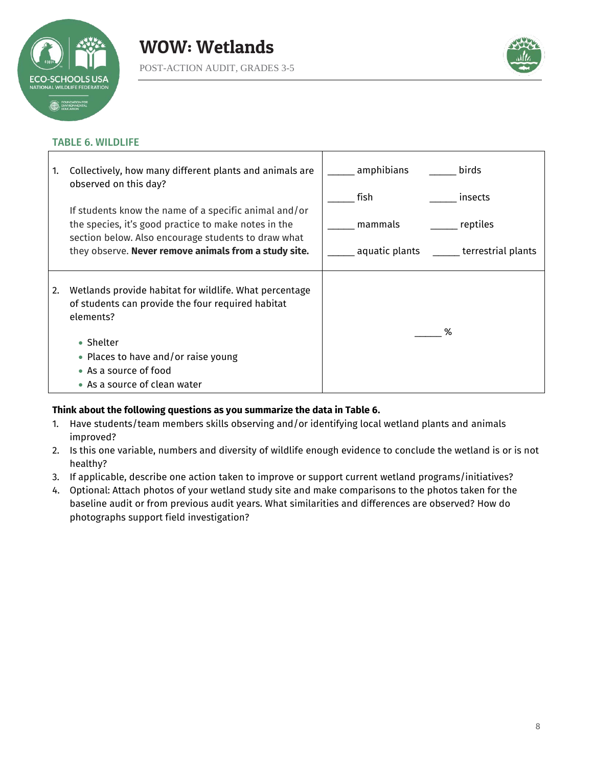



# TABLE 6. WILDLIFE

| 1. | Collectively, how many different plants and animals are<br>observed on this day?                                                                                     | amphibians     | birds                     |  |
|----|----------------------------------------------------------------------------------------------------------------------------------------------------------------------|----------------|---------------------------|--|
|    |                                                                                                                                                                      | fish           | insects                   |  |
|    | If students know the name of a specific animal and/or<br>the species, it's good practice to make notes in the<br>section below. Also encourage students to draw what | mammals        | reptiles                  |  |
|    | they observe. Never remove animals from a study site.                                                                                                                | aquatic plants | ______ terrestrial plants |  |
| 2. | Wetlands provide habitat for wildlife. What percentage<br>of students can provide the four required habitat<br>elements?                                             |                |                           |  |
|    | • Shelter<br>• Places to have and/or raise young                                                                                                                     |                | %                         |  |
|    | • As a source of food<br>• As a source of clean water                                                                                                                |                |                           |  |

## **Think about the following questions as you summarize the data in Table 6.**

- 1. Have students/team members skills observing and/or identifying local wetland plants and animals improved?
- 2. Is this one variable, numbers and diversity of wildlife enough evidence to conclude the wetland is or is not healthy?
- 3. If applicable, describe one action taken to improve or support current wetland programs/initiatives?
- 4. Optional: Attach photos of your wetland study site and make comparisons to the photos taken for the baseline audit or from previous audit years. What similarities and differences are observed? How do photographs support field investigation?